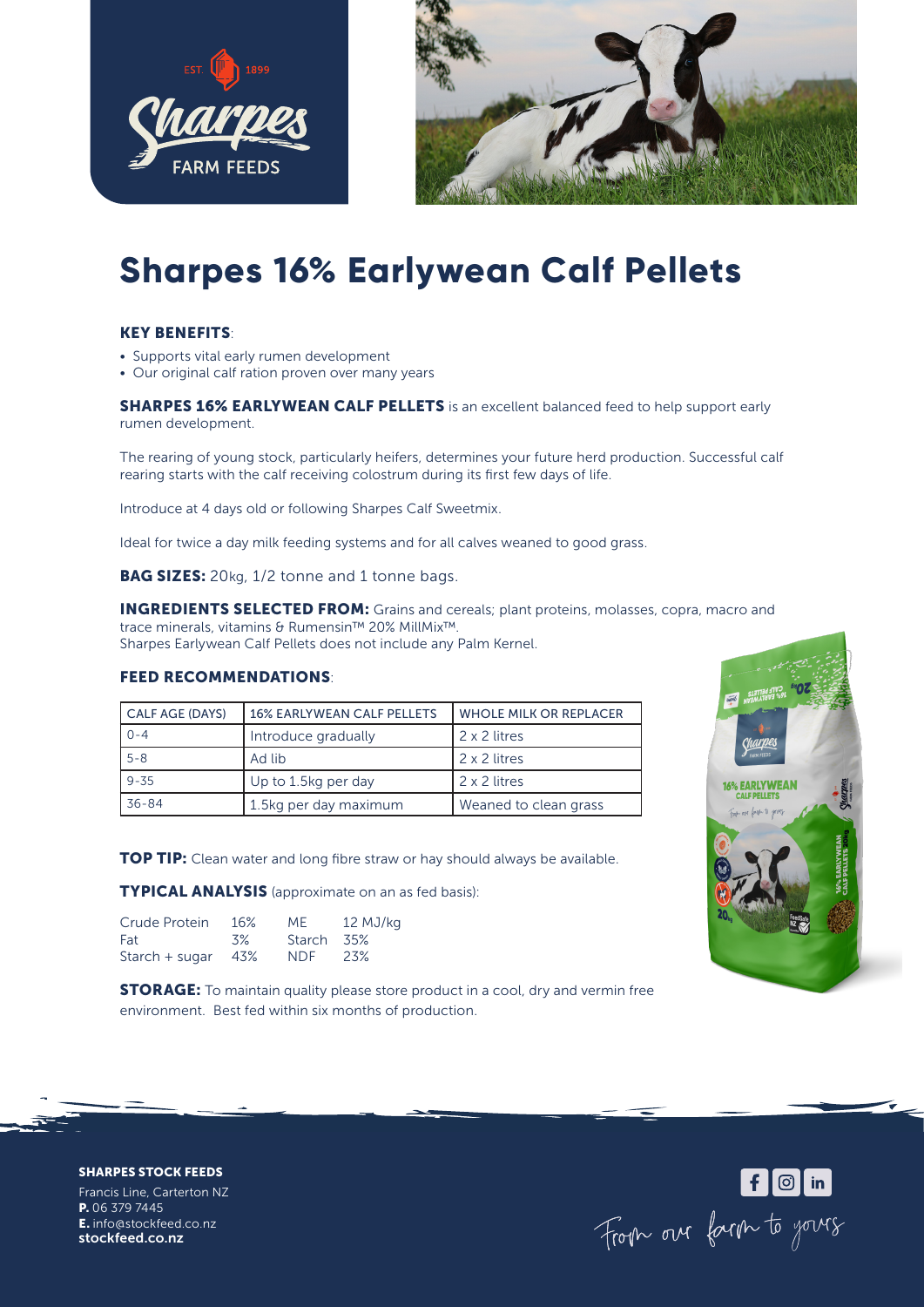



# **Sharpes 16% Earlywean Calf Pellets**

## KEY BENEFITS:

- Supports vital early rumen development
- Our original calf ration proven over many years

**SHARPES 16% EARLYWEAN CALF PELLETS** is an excellent balanced feed to help support early rumen development.

The rearing of young stock, particularly heifers, determines your future herd production. Successful calf rearing starts with the calf receiving colostrum during its first few days of life.

Introduce at 4 days old or following Sharpes Calf Sweetmix.

Ideal for twice a day milk feeding systems and for all calves weaned to good grass.

**BAG SIZES:** 20kg, 1/2 tonne and 1 tonne bags.

**INGREDIENTS SELECTED FROM:** Grains and cereals; plant proteins, molasses, copra, macro and trace minerals, vitamins & Rumensin™ 20% MillMix™.

Sharpes Earlywean Calf Pellets does not include any Palm Kernel.

### FEED RECOMMENDATIONS:

| <b>CALF AGE (DAYS)</b> | <b>16% EARLYWEAN CALF PELLETS</b> | WHOLE MILK OR REPLACER |  |
|------------------------|-----------------------------------|------------------------|--|
| $0 - 4$                | Introduce gradually               | 2 x 2 litres           |  |
| $5 - 8$                | Ad lib                            | 2 x 2 litres           |  |
| $9 - 35$               | Up to 1.5kg per day               | 2 x 2 litres           |  |
| 36-84                  | 1.5kg per day maximum             | Weaned to clean grass  |  |

**TOP TIP:** Clean water and long fibre straw or hay should always be available.

TYPICAL ANALYSIS (approximate on an as fed basis):

| Crude Protein  | 16% | MF.        | 12 MJ/kg |
|----------------|-----|------------|----------|
| Fat            | 3%  | Starch 35% |          |
| Starch + sugar | 43% | NDF.       | -23%     |

**STORAGE:** To maintain quality please store product in a cool, dry and vermin free environment. Best fed within six months of production.



For our farm to yours

SHARPES STOCK FEEDS

Francis Line, Carterton NZ P. 06 379 7445 E. info@stockfeed.co.nz stockfeed.co.nz